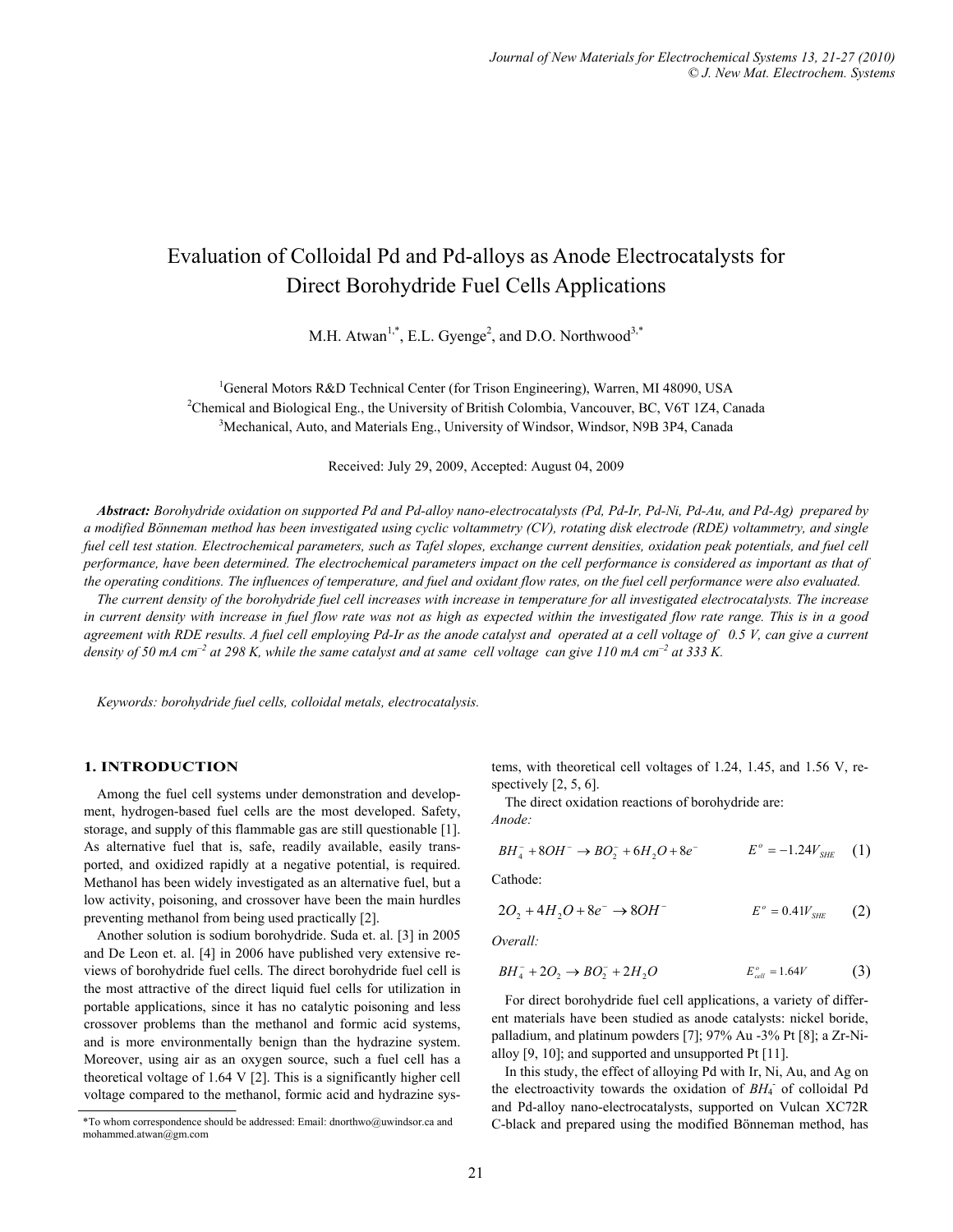# Evaluation of Colloidal Pd and Pd-alloys as Anode Electrocatalysts for Direct Borohydride Fuel Cells Applications

M.H. Atwan<sup>1,\*</sup>, E.L. Gyenge<sup>2</sup>, and D.O. Northwood<sup>3,\*</sup>

<sup>1</sup>General Motors R&D Technical Center (for Trison Engineering), Warren, MI 48090, USA<br><sup>2</sup>Chamical and Biological Eng., the University of Pritich Colombia, Venequyer, P.C. V6T 174, Ca  ${}^{2}$ Chemical and Biological Eng., the University of British Colombia, Vancouver, BC, V6T 1Z4, Canada <sup>3</sup>Mechanical, Auto, and Materials Eng., University of Windsor, Windsor, N9B 3P4, Canada

Received: July 29, 2009, Accepted: August 04, 2009

*Abstract: Borohydride oxidation on supported Pd and Pd-alloy nano-electrocatalysts (Pd, Pd-Ir, Pd-Ni, Pd-Au, and Pd-Ag) prepared by a modified Bönneman method has been investigated using cyclic voltammetry (CV), rotating disk electrode (RDE) voltammetry, and single fuel cell test station. Electrochemical parameters, such as Tafel slopes, exchange current densities, oxidation peak potentials, and fuel cell performance, have been determined. The electrochemical parameters impact on the cell performance is considered as important as that of the operating conditions. The influences of temperature, and fuel and oxidant flow rates, on the fuel cell performance were also evaluated.* 

*The current density of the borohydride fuel cell increases with increase in temperature for all investigated electrocatalysts. The increase in current density with increase in fuel flow rate was not as high as expected within the investigated flow rate range. This is in a good agreement with RDE results. A fuel cell employing Pd-Ir as the anode catalyst and operated at a cell voltage of 0.5 V, can give a current density of 50 mA cm<sup>-2</sup> at 298 K, while the same catalyst and at same cell voltage can give 110 mA cm<sup>-2</sup> at 333 K.* 

*Keywords: borohydride fuel cells, colloidal metals, electrocatalysis.* 

## **1. INTRODUCTION**

Among the fuel cell systems under demonstration and development, hydrogen-based fuel cells are the most developed. Safety, storage, and supply of this flammable gas are still questionable [1]. As alternative fuel that is, safe, readily available, easily transported, and oxidized rapidly at a negative potential, is required. Methanol has been widely investigated as an alternative fuel, but a low activity, poisoning, and crossover have been the main hurdles preventing methanol from being used practically [2].

Another solution is sodium borohydride. Suda et. al. [3] in 2005 and De Leon et. al. [4] in 2006 have published very extensive reviews of borohydride fuel cells. The direct borohydride fuel cell is the most attractive of the direct liquid fuel cells for utilization in portable applications, since it has no catalytic poisoning and less crossover problems than the methanol and formic acid systems, and is more environmentally benign than the hydrazine system. Moreover, using air as an oxygen source, such a fuel cell has a theoretical voltage of 1.64 V [2]. This is a significantly higher cell voltage compared to the methanol, formic acid and hydrazine systems, with theoretical cell voltages of 1.24, 1.45, and 1.56 V, respectively [2, 5, 6].

The direct oxidation reactions of borohydride are: *Anode:*

$$
BH_{4}^{-} + 8OH^{-} \rightarrow BO_{2}^{-} + 6H_{2}O + 8e^{-} \qquad E^{\circ} = -1.24V_{SHE} \quad (1)
$$

Cathode:

$$
2O_2 + 4H_2O + 8e^- \to 8OH^ E^{\circ} = 0.4W_{SHE}
$$
 (2)

*Overall:* 

$$
BH_4^- + 2O_2 \to BO_2^- + 2H_2O \qquad E_{cell}^o = 1.64V \tag{3}
$$

For direct borohydride fuel cell applications, a variety of different materials have been studied as anode catalysts: nickel boride, palladium, and platinum powders [7]; 97% Au -3% Pt [8]; a Zr-Nialloy [9, 10]; and supported and unsupported Pt [11].

In this study, the effect of alloying Pd with Ir, Ni, Au, and Ag on the electroactivity towards the oxidation of  $BH<sub>4</sub>$  of colloidal Pd and Pd-alloy nano-electrocatalysts, supported on Vulcan XC72R C-black and prepared using the modified Bönneman method, has

<sup>\*</sup>To whom correspondence should be addressed: Email: dnorthwo@uwindsor.ca and mohammed.atwan@gm.com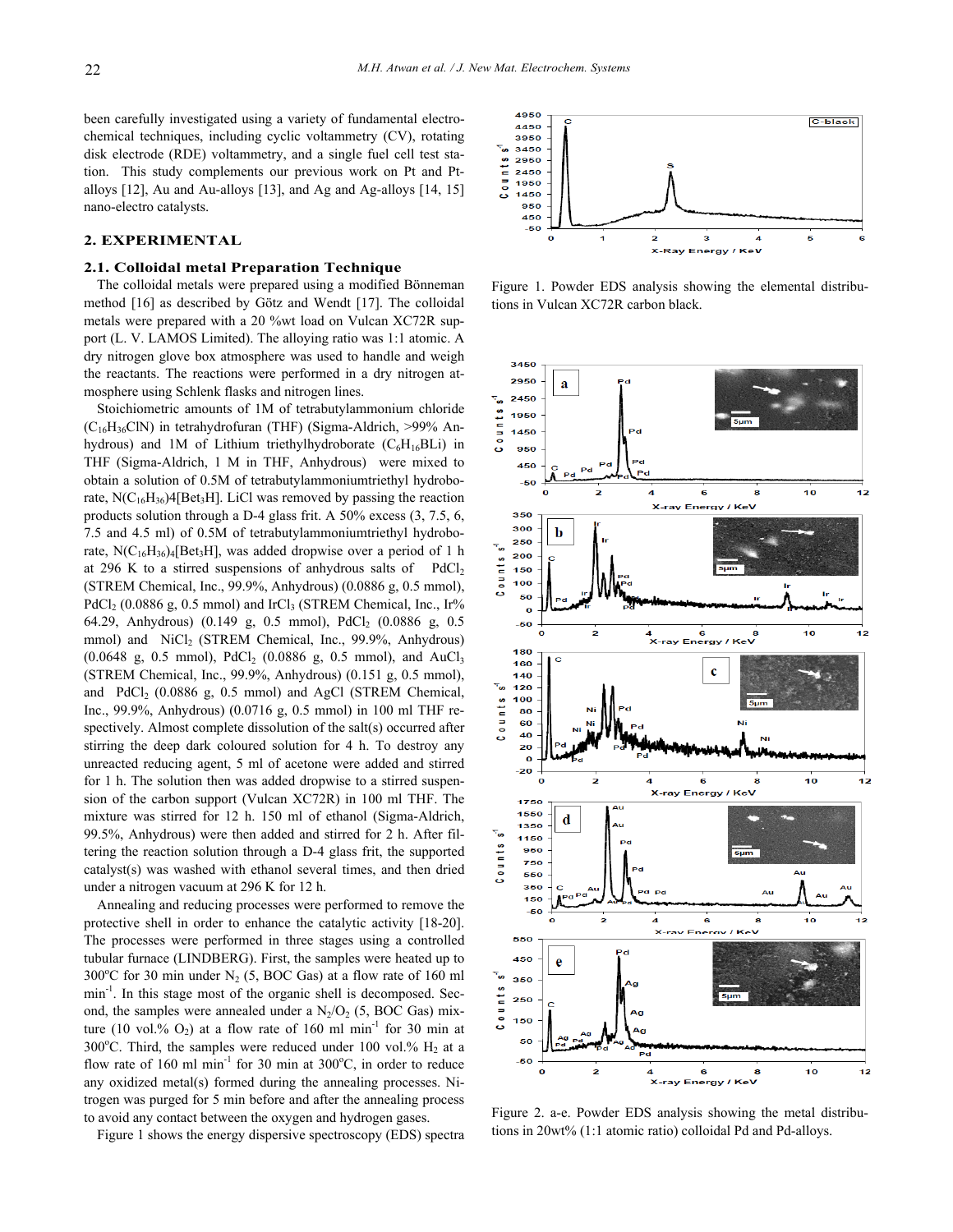been carefully investigated using a variety of fundamental electrochemical techniques, including cyclic voltammetry (CV), rotating disk electrode (RDE) voltammetry, and a single fuel cell test station. This study complements our previous work on Pt and Ptalloys [12], Au and Au-alloys [13], and Ag and Ag-alloys [14, 15] nano-electro catalysts.

# **2. EXPERIMENTAL**

#### **2.1. Colloidal metal Preparation Technique**

The colloidal metals were prepared using a modified Bönneman method [16] as described by Götz and Wendt [17]. The colloidal metals were prepared with a 20 %wt load on Vulcan XC72R support (L. V. LAMOS Limited). The alloying ratio was 1:1 atomic. A dry nitrogen glove box atmosphere was used to handle and weigh the reactants. The reactions were performed in a dry nitrogen atmosphere using Schlenk flasks and nitrogen lines.

Stoichiometric amounts of 1M of tetrabutylammonium chloride  $(C_{16}H_{36}C$ lN) in tetrahydrofuran (THF) (Sigma-Aldrich, >99% Anhydrous) and 1M of Lithium triethylhydroborate  $(C_6H_{16}BLi)$  in THF (Sigma-Aldrich, 1 M in THF, Anhydrous) were mixed to obtain a solution of 0.5M of tetrabutylammoniumtriethyl hydroborate,  $N(C_{16}H_{36})$ 4[Bet<sub>3</sub>H]. LiCl was removed by passing the reaction products solution through a D-4 glass frit. A 50% excess (3, 7.5, 6, 7.5 and 4.5 ml) of 0.5M of tetrabutylammoniumtriethyl hydroborate,  $N(C_{16}H_{36})$ <sub>4</sub>[Bet<sub>3</sub>H], was added dropwise over a period of 1 h at 296 K to a stirred suspensions of anhydrous salts of  $PdCl<sub>2</sub>$ (STREM Chemical, Inc., 99.9%, Anhydrous) (0.0886 g, 0.5 mmol),  $PdCl<sub>2</sub>$  (0.0886 g, 0.5 mmol) and IrCl<sub>3</sub> (STREM Chemical, Inc., Ir% 64.29, Anhydrous) (0.149 g, 0.5 mmol), PdCl<sub>2</sub> (0.0886 g, 0.5 mmol) and NiCl<sub>2</sub> (STREM Chemical, Inc., 99.9%, Anhydrous)  $(0.0648 \text{ g}, 0.5 \text{ mmol})$ , PdCl<sub>2</sub>  $(0.0886 \text{ g}, 0.5 \text{ mmol})$ , and AuCl<sub>3</sub> (STREM Chemical, Inc., 99.9%, Anhydrous) (0.151 g, 0.5 mmol), and PdCl2 (0.0886 g, 0.5 mmol) and AgCl (STREM Chemical, Inc., 99.9%, Anhydrous) (0.0716 g, 0.5 mmol) in 100 ml THF respectively. Almost complete dissolution of the salt(s) occurred after stirring the deep dark coloured solution for 4 h. To destroy any unreacted reducing agent, 5 ml of acetone were added and stirred for 1 h. The solution then was added dropwise to a stirred suspension of the carbon support (Vulcan XC72R) in 100 ml THF. The mixture was stirred for 12 h. 150 ml of ethanol (Sigma-Aldrich, 99.5%, Anhydrous) were then added and stirred for 2 h. After filtering the reaction solution through a D-4 glass frit, the supported catalyst(s) was washed with ethanol several times, and then dried under a nitrogen vacuum at 296 K for 12 h.

Annealing and reducing processes were performed to remove the protective shell in order to enhance the catalytic activity [18-20]. The processes were performed in three stages using a controlled tubular furnace (LINDBERG). First, the samples were heated up to 300 $^{\circ}$ C for 30 min under N<sub>2</sub> (5, BOC Gas) at a flow rate of 160 ml min<sup>-1</sup>. In this stage most of the organic shell is decomposed. Second, the samples were annealed under a  $N_2/O_2$  (5, BOC Gas) mixture (10 vol.%  $O_2$ ) at a flow rate of 160 ml min<sup>-1</sup> for 30 min at 300°C. Third, the samples were reduced under 100 vol.%  $H_2$  at a flow rate of 160 ml min<sup>-1</sup> for 30 min at  $300^{\circ}$ C, in order to reduce any oxidized metal(s) formed during the annealing processes. Nitrogen was purged for 5 min before and after the annealing process to avoid any contact between the oxygen and hydrogen gases.

Figure 1 shows the energy dispersive spectroscopy (EDS) spectra



Figure 1. Powder EDS analysis showing the elemental distributions in Vulcan XC72R carbon black.



Figure 2. a-e. Powder EDS analysis showing the metal distributions in 20wt% (1:1 atomic ratio) colloidal Pd and Pd-alloys.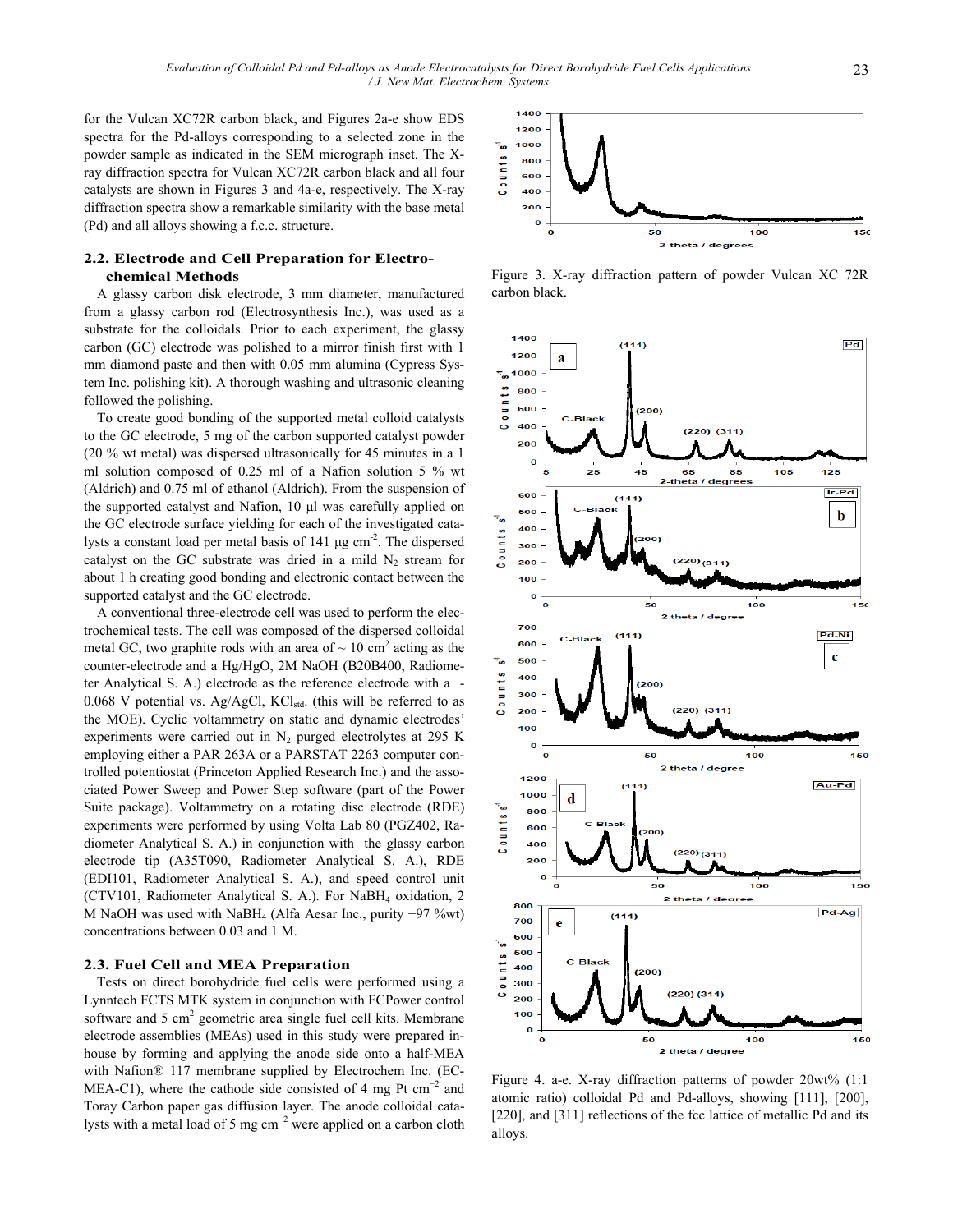for the Vulcan XC72R carbon black, and Figures 2a-e show EDS spectra for the Pd-alloys corresponding to a selected zone in the powder sample as indicated in the SEM micrograph inset. The Xray diffraction spectra for Vulcan XC72R carbon black and all four catalysts are shown in Figures 3 and 4a-e, respectively. The X-ray diffraction spectra show a remarkable similarity with the base metal (Pd) and all alloys showing a f.c.c. structure.

# **2.2. Electrode and Cell Preparation for Electrochemical Methods**

A glassy carbon disk electrode, 3 mm diameter, manufactured from a glassy carbon rod (Electrosynthesis Inc.), was used as a substrate for the colloidals. Prior to each experiment, the glassy carbon (GC) electrode was polished to a mirror finish first with 1 mm diamond paste and then with 0.05 mm alumina (Cypress System Inc. polishing kit). A thorough washing and ultrasonic cleaning followed the polishing.

To create good bonding of the supported metal colloid catalysts to the GC electrode, 5 mg of the carbon supported catalyst powder (20 % wt metal) was dispersed ultrasonically for 45 minutes in a 1 ml solution composed of 0.25 ml of a Nafion solution 5 % wt (Aldrich) and 0.75 ml of ethanol (Aldrich). From the suspension of the supported catalyst and Nafion, 10 μl was carefully applied on the GC electrode surface yielding for each of the investigated catalysts a constant load per metal basis of 141 μg cm<sup>-2</sup>. The dispersed catalyst on the GC substrate was dried in a mild  $N_2$  stream for about 1 h creating good bonding and electronic contact between the supported catalyst and the GC electrode.

A conventional three-electrode cell was used to perform the electrochemical tests. The cell was composed of the dispersed colloidal metal GC, two graphite rods with an area of  $\sim 10 \text{ cm}^2$  acting as the counter-electrode and a Hg/HgO, 2M NaOH (B20B400, Radiometer Analytical S. A.) electrode as the reference electrode with a -  $0.068$  V potential vs. Ag/AgCl, KCl<sub>std</sub>. (this will be referred to as the MOE). Cyclic voltammetry on static and dynamic electrodes' experiments were carried out in  $N_2$  purged electrolytes at 295 K employing either a PAR 263A or a PARSTAT 2263 computer controlled potentiostat (Princeton Applied Research Inc.) and the associated Power Sweep and Power Step software (part of the Power Suite package). Voltammetry on a rotating disc electrode (RDE) experiments were performed by using Volta Lab 80 (PGZ402, Radiometer Analytical S. A.) in conjunction with the glassy carbon electrode tip (A35T090, Radiometer Analytical S. A.), RDE (EDI101, Radiometer Analytical S. A.), and speed control unit (CTV101, Radiometer Analytical S. A.). For NaBH4 oxidation, 2 M NaOH was used with NaBH4 (Alfa Aesar Inc., purity +97 %wt) concentrations between 0.03 and 1 M.

# **2.3. Fuel Cell and MEA Preparation**

Tests on direct borohydride fuel cells were performed using a Lynntech FCTS MTK system in conjunction with FCPower control software and  $5 \text{ cm}^2$  geometric area single fuel cell kits. Membrane electrode assemblies (MEAs) used in this study were prepared inhouse by forming and applying the anode side onto a half-MEA with Nafion® 117 membrane supplied by Electrochem Inc. (EC-MEA-C1), where the cathode side consisted of 4 mg Pt  $cm^{-2}$  and Toray Carbon paper gas diffusion layer. The anode colloidal catalysts with a metal load of 5 mg  $cm^{-2}$  were applied on a carbon cloth



Figure 3. X-ray diffraction pattern of powder Vulcan XC 72R carbon black.



Figure 4. a-e. X-ray diffraction patterns of powder 20wt% (1:1 atomic ratio) colloidal Pd and Pd-alloys, showing [111], [200], [220], and [311] reflections of the fcc lattice of metallic Pd and its alloys.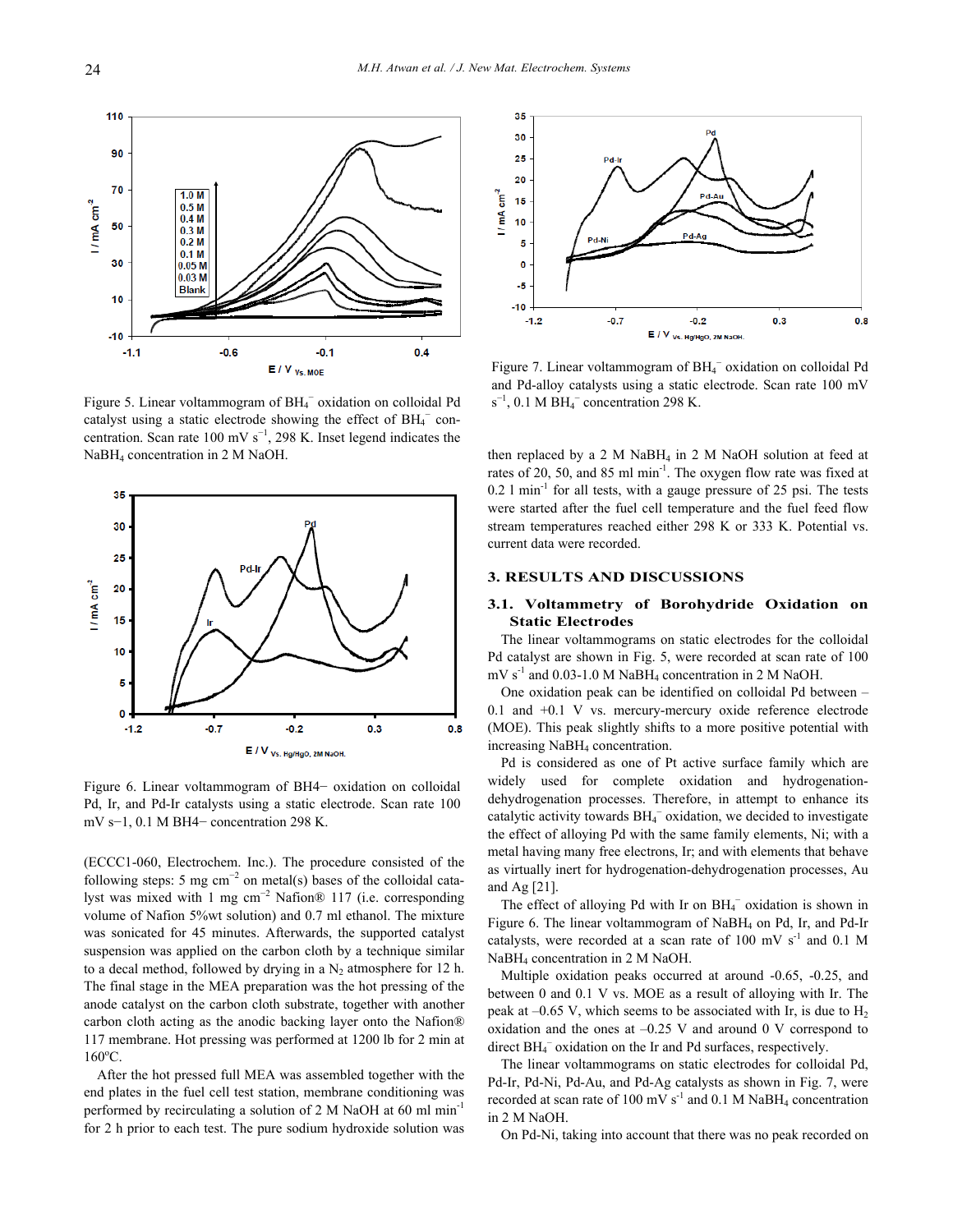

Figure 5. Linear voltammogram of BH<sub>4</sub> oxidation on colloidal Pd catalyst using a static electrode showing the effect of BH<sub>4</sub><sup>-</sup> concentration. Scan rate  $100 \text{ mV s}^{-1}$ , 298 K. Inset legend indicates the NaBH4 concentration in 2 M NaOH.



Figure 6. Linear voltammogram of BH4− oxidation on colloidal Pd, Ir, and Pd-Ir catalysts using a static electrode. Scan rate 100 mV s−1, 0.1 M BH4− concentration 298 K.

(ECCC1-060, Electrochem. Inc.). The procedure consisted of the following steps: 5 mg  $cm^{-2}$  on metal(s) bases of the colloidal catalyst was mixed with 1 mg cm<sup>-2</sup> Nafion® 117 (i.e. corresponding volume of Nafion 5%wt solution) and 0.7 ml ethanol. The mixture was sonicated for 45 minutes. Afterwards, the supported catalyst suspension was applied on the carbon cloth by a technique similar to a decal method, followed by drying in a  $N_2$  atmosphere for 12 h. The final stage in the MEA preparation was the hot pressing of the anode catalyst on the carbon cloth substrate, together with another carbon cloth acting as the anodic backing layer onto the Nafion® 117 membrane. Hot pressing was performed at 1200 lb for 2 min at  $160^{\circ}$ C.

After the hot pressed full MEA was assembled together with the end plates in the fuel cell test station, membrane conditioning was performed by recirculating a solution of 2 M NaOH at 60 ml min-1 for 2 h prior to each test. The pure sodium hydroxide solution was



Figure 7. Linear voltammogram of BH<sub>4</sub><sup>−</sup> oxidation on colloidal Pd and Pd-alloy catalysts using a static electrode. Scan rate 100 mV  $s^{-1}$ , 0.1 M BH<sub>4</sub><sup>-</sup> concentration 298 K.

then replaced by a 2 M NaBH<sub>4</sub> in 2 M NaOH solution at feed at rates of 20, 50, and 85 ml min<sup>-1</sup>. The oxygen flow rate was fixed at  $0.2$  l min<sup>-1</sup> for all tests, with a gauge pressure of 25 psi. The tests were started after the fuel cell temperature and the fuel feed flow stream temperatures reached either 298 K or 333 K. Potential vs. current data were recorded.

#### **3. RESULTS AND DISCUSSIONS**

## **3.1. Voltammetry of Borohydride Oxidation on Static Electrodes**

The linear voltammograms on static electrodes for the colloidal Pd catalyst are shown in Fig. 5, were recorded at scan rate of 100  $mV s<sup>-1</sup>$  and 0.03-1.0 M NaBH<sub>4</sub> concentration in 2 M NaOH.

One oxidation peak can be identified on colloidal Pd between – 0.1 and +0.1 V vs. mercury-mercury oxide reference electrode (MOE). This peak slightly shifts to a more positive potential with increasing NaBH4 concentration.

Pd is considered as one of Pt active surface family which are widely used for complete oxidation and hydrogenationdehydrogenation processes. Therefore, in attempt to enhance its catalytic activity towards BH<sub>4</sub><sup>-</sup> oxidation, we decided to investigate the effect of alloying Pd with the same family elements, Ni; with a metal having many free electrons, Ir; and with elements that behave as virtually inert for hydrogenation-dehydrogenation processes, Au and Ag [21].

The effect of alloying Pd with Ir on BH<sub>4</sub><sup>-</sup> oxidation is shown in Figure 6. The linear voltammogram of NaBH4 on Pd, Ir, and Pd-Ir catalysts, were recorded at a scan rate of 100 mV  $s^{-1}$  and 0.1 M NaBH4 concentration in 2 M NaOH.

Multiple oxidation peaks occurred at around -0.65, -0.25, and between 0 and 0.1 V vs. MOE as a result of alloying with Ir. The peak at  $-0.65$  V, which seems to be associated with Ir, is due to  $H_2$ oxidation and the ones at  $-0.25$  V and around 0 V correspond to direct BH<sub>4</sub><sup>-</sup> oxidation on the Ir and Pd surfaces, respectively.

The linear voltammograms on static electrodes for colloidal Pd, Pd-Ir, Pd-Ni, Pd-Au, and Pd-Ag catalysts as shown in Fig. 7, were recorded at scan rate of 100 mV  $s^{-1}$  and 0.1 M NaBH<sub>4</sub> concentration in 2 M NaOH.

On Pd-Ni, taking into account that there was no peak recorded on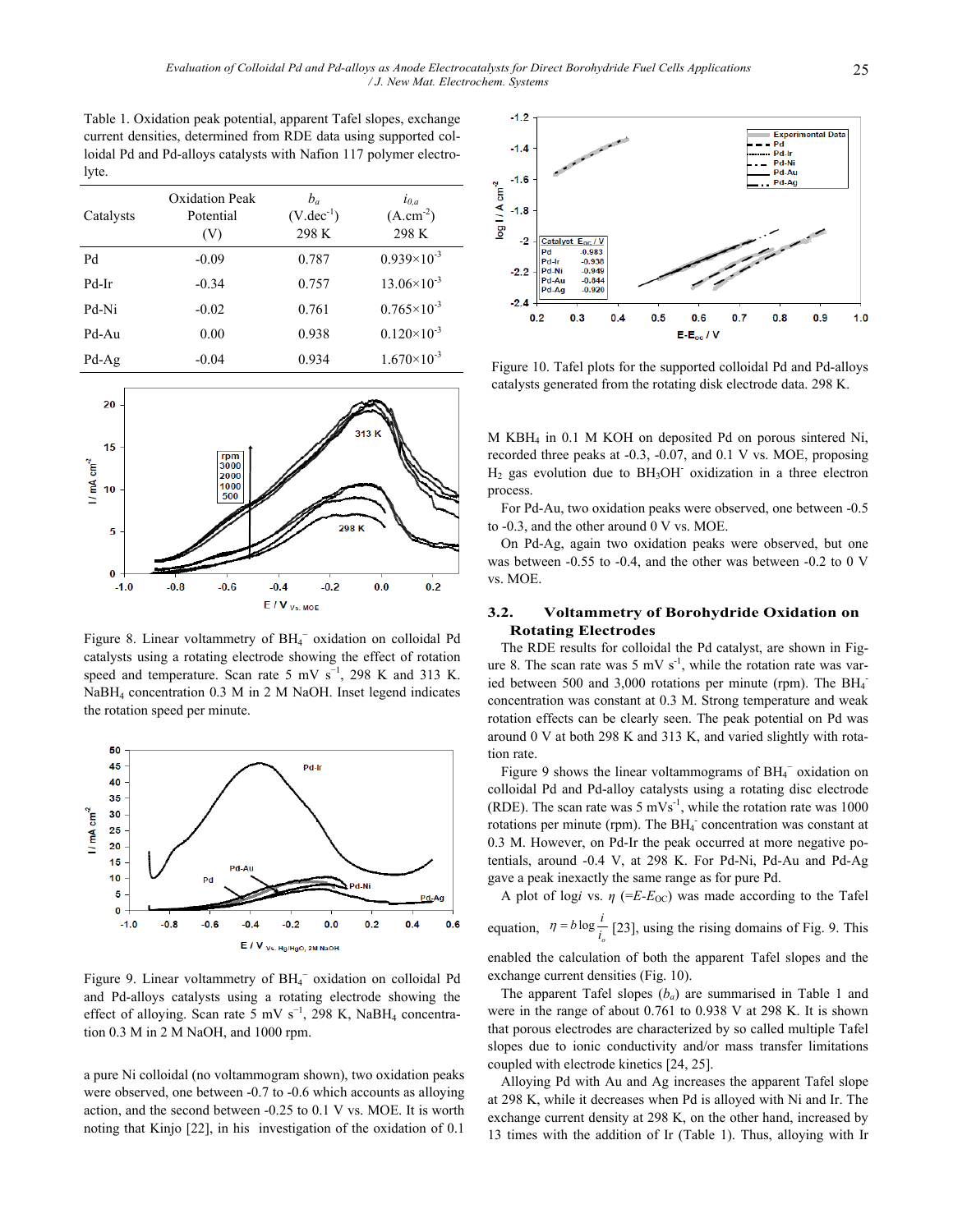Table 1. Oxidation peak potential, apparent Tafel slopes, exchange current densities, determined from RDE data using supported colloidal Pd and Pd-alloys catalysts with Nafion 117 polymer electrolyte.

| Catalysts | Oxidation Peak<br>Potential<br>(V) | $b_a$<br>$(V.dec^{-1})$<br>298 K | $l_{0,a}$<br>$(A.cm-2)$<br>298 K |
|-----------|------------------------------------|----------------------------------|----------------------------------|
| Pd        | $-0.09$                            | 0.787                            | $0.939\times10^{-3}$             |
| Pd-Ir     | $-0.34$                            | 0.757                            | $13.06\times10^{-3}$             |
| Pd-Ni     | $-0.02$                            | 0.761                            | $0.765 \times 10^{-3}$           |
| Pd-Au     | 0.00                               | 0.938                            | $0.120\times10^{-3}$             |
| $Pd-Ag$   | $-0.04$                            | 0.934                            | $1.670\times10^{-3}$             |



Figure 8. Linear voltammetry of BH<sub>4</sub><sup>-</sup> oxidation on colloidal Pd catalysts using a rotating electrode showing the effect of rotation speed and temperature. Scan rate 5 mV  $s^{-1}$ , 298 K and 313 K. NaBH4 concentration 0.3 M in 2 M NaOH. Inset legend indicates the rotation speed per minute.



Figure 9. Linear voltammetry of BH<sub>4</sub><sup>-</sup> oxidation on colloidal Pd and Pd-alloys catalysts using a rotating electrode showing the effect of alloying. Scan rate 5 mV  $s^{-1}$ , 298 K, NaBH<sub>4</sub> concentration 0.3 M in 2 M NaOH, and 1000 rpm.

a pure Ni colloidal (no voltammogram shown), two oxidation peaks were observed, one between -0.7 to -0.6 which accounts as alloying action, and the second between -0.25 to 0.1 V vs. MOE. It is worth noting that Kinjo [22], in his investigation of the oxidation of 0.1



Figure 10. Tafel plots for the supported colloidal Pd and Pd-alloys catalysts generated from the rotating disk electrode data. 298 K.

M KBH4 in 0.1 M KOH on deposited Pd on porous sintered Ni, recorded three peaks at -0.3, -0.07, and 0.1 V vs. MOE, proposing  $H<sub>2</sub>$  gas evolution due to BH<sub>3</sub>OH<sup>-</sup> oxidization in a three electron process.

For Pd-Au, two oxidation peaks were observed, one between -0.5 to -0.3, and the other around 0 V vs. MOE.

On Pd-Ag, again two oxidation peaks were observed, but one was between -0.55 to -0.4, and the other was between -0.2 to 0 V vs. MOE.

## **3.2. Voltammetry of Borohydride Oxidation on Rotating Electrodes**

The RDE results for colloidal the Pd catalyst, are shown in Figure 8. The scan rate was 5 mV  $s^{-1}$ , while the rotation rate was varied between 500 and 3,000 rotations per minute (rpm). The BH<sub>4</sub> concentration was constant at 0.3 M. Strong temperature and weak rotation effects can be clearly seen. The peak potential on Pd was around 0 V at both 298 K and 313 K, and varied slightly with rotation rate.

Figure 9 shows the linear voltammograms of  $BH_4^-$  oxidation on colloidal Pd and Pd-alloy catalysts using a rotating disc electrode (RDE). The scan rate was  $5 \text{ mVs}^{-1}$ , while the rotation rate was 1000 rotations per minute (rpm). The BH<sub>4</sub> concentration was constant at 0.3 M. However, on Pd-Ir the peak occurred at more negative potentials, around -0.4 V, at 298 K. For Pd-Ni, Pd-Au and Pd-Ag gave a peak inexactly the same range as for pure Pd.

A plot of logi vs.  $\eta$  (=E-E<sub>OC</sub>) was made according to the Tafel  $\eta = b \log \frac{i}{h}$ 

equation,  $\eta = b \log \frac{1}{i_o}$  [23], using the rising domains of Fig. 9. This enabled the calculation of both the apparent Tafel slopes and the

exchange current densities (Fig. 10). The apparent Tafel slopes  $(b_a)$  are summarised in Table 1 and were in the range of about 0.761 to 0.938 V at 298 K. It is shown

that porous electrodes are characterized by so called multiple Tafel slopes due to ionic conductivity and/or mass transfer limitations coupled with electrode kinetics [24, 25].

Alloying Pd with Au and Ag increases the apparent Tafel slope at 298 K, while it decreases when Pd is alloyed with Ni and Ir. The exchange current density at 298 K, on the other hand, increased by 13 times with the addition of Ir (Table 1). Thus, alloying with Ir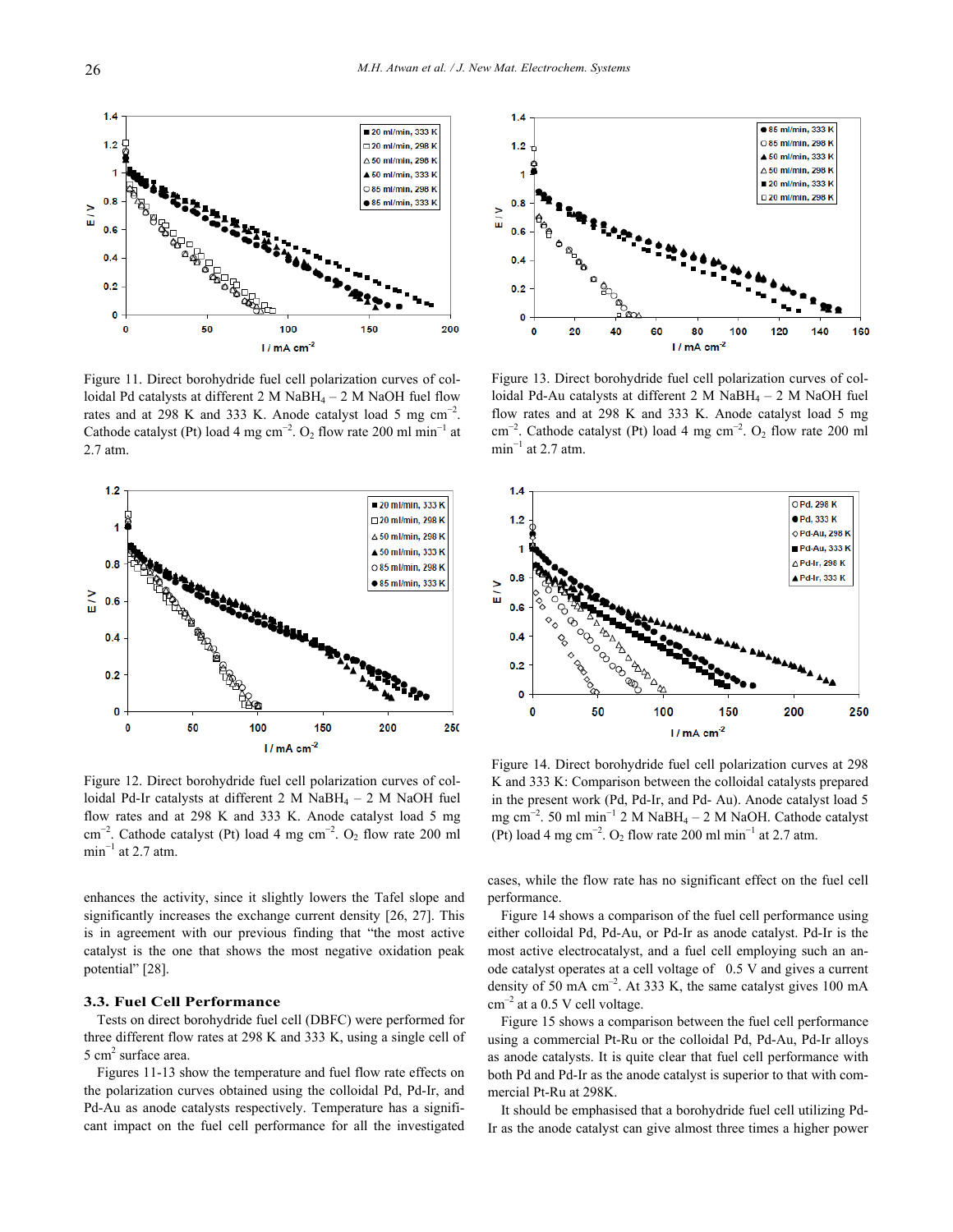20 ml/min, 333 K

□20 ml/min. 298 K

∆ 50 ml/min, 298 K

 $\triangle$  50 ml/min, 333 K

○85 ml/min. 298 K

● 85 ml/min, 333 K

200

150

Figure 11. Direct borohydride fuel cell polarization curves of colloidal Pd catalysts at different  $2 M NaBH_4 - 2 M NaOH$  fuel flow rates and at 298 K and 333 K. Anode catalyst load 5 mg  $cm^{-2}$ . Cathode catalyst (Pt) load 4 mg cm<sup>-2</sup>. O<sub>2</sub> flow rate 200 ml min<sup>-1</sup> at 2.7 atm.

100

 $1/mA cm<sup>-2</sup>$ 

50



Figure 12. Direct borohydride fuel cell polarization curves of colloidal Pd-Ir catalysts at different  $2 M$  NaBH<sub>4</sub> –  $2 M$  NaOH fuel flow rates and at 298 K and 333 K. Anode catalyst load 5 mg cm<sup>-2</sup>. Cathode catalyst (Pt) load 4 mg cm<sup>-2</sup>. O<sub>2</sub> flow rate 200 ml  $min^{-1}$  at 2.7 atm.

enhances the activity, since it slightly lowers the Tafel slope and significantly increases the exchange current density [26, 27]. This is in agreement with our previous finding that "the most active catalyst is the one that shows the most negative oxidation peak potential" [28].

## **3.3. Fuel Cell Performance**

Tests on direct borohydride fuel cell (DBFC) were performed for three different flow rates at 298 K and 333 K, using a single cell of 5 cm<sup>2</sup> surface area.

Figures 11-13 show the temperature and fuel flow rate effects on the polarization curves obtained using the colloidal Pd, Pd-Ir, and Pd-Au as anode catalysts respectively. Temperature has a significant impact on the fuel cell performance for all the investigated



Figure 13. Direct borohydride fuel cell polarization curves of colloidal Pd-Au catalysts at different 2 M NaBH<sub>4</sub> - 2 M NaOH fuel flow rates and at 298 K and 333 K. Anode catalyst load 5 mg  $\text{cm}^{-2}$ . Cathode catalyst (Pt) load 4 mg  $\text{cm}^{-2}$ . O<sub>2</sub> flow rate 200 ml  $min^{-1}$  at 2.7 atm.



Figure 14. Direct borohydride fuel cell polarization curves at 298 K and 333 K: Comparison between the colloidal catalysts prepared in the present work (Pd, Pd-Ir, and Pd- Au). Anode catalyst load 5 mg cm<sup>−</sup><sup>2</sup> . 50 ml min<sup>−</sup><sup>1</sup> 2 M NaBH4 – 2 M NaOH. Cathode catalyst (Pt) load 4 mg cm<sup>-2</sup>. O<sub>2</sub> flow rate 200 ml min<sup>-1</sup> at 2.7 atm.

cases, while the flow rate has no significant effect on the fuel cell performance.

Figure 14 shows a comparison of the fuel cell performance using either colloidal Pd, Pd-Au, or Pd-Ir as anode catalyst. Pd-Ir is the most active electrocatalyst, and a fuel cell employing such an anode catalyst operates at a cell voltage of 0.5 V and gives a current density of 50 mA  $\text{cm}^{-2}$ . At 333 K, the same catalyst gives 100 mA  $cm^{-2}$  at a 0.5 V cell voltage.

Figure 15 shows a comparison between the fuel cell performance using a commercial Pt-Ru or the colloidal Pd, Pd-Au, Pd-Ir alloys as anode catalysts. It is quite clear that fuel cell performance with both Pd and Pd-Ir as the anode catalyst is superior to that with commercial Pt-Ru at 298K.

It should be emphasised that a borohydride fuel cell utilizing Pd-Ir as the anode catalyst can give almost three times a higher power

 $\frac{1}{2}$ 

 $1.4$ 

 $1.2$ 

 $0.6$ 

 $0.4$ 

 $0.2$ 

 $\mathbf 0$  $\mathbf 0$